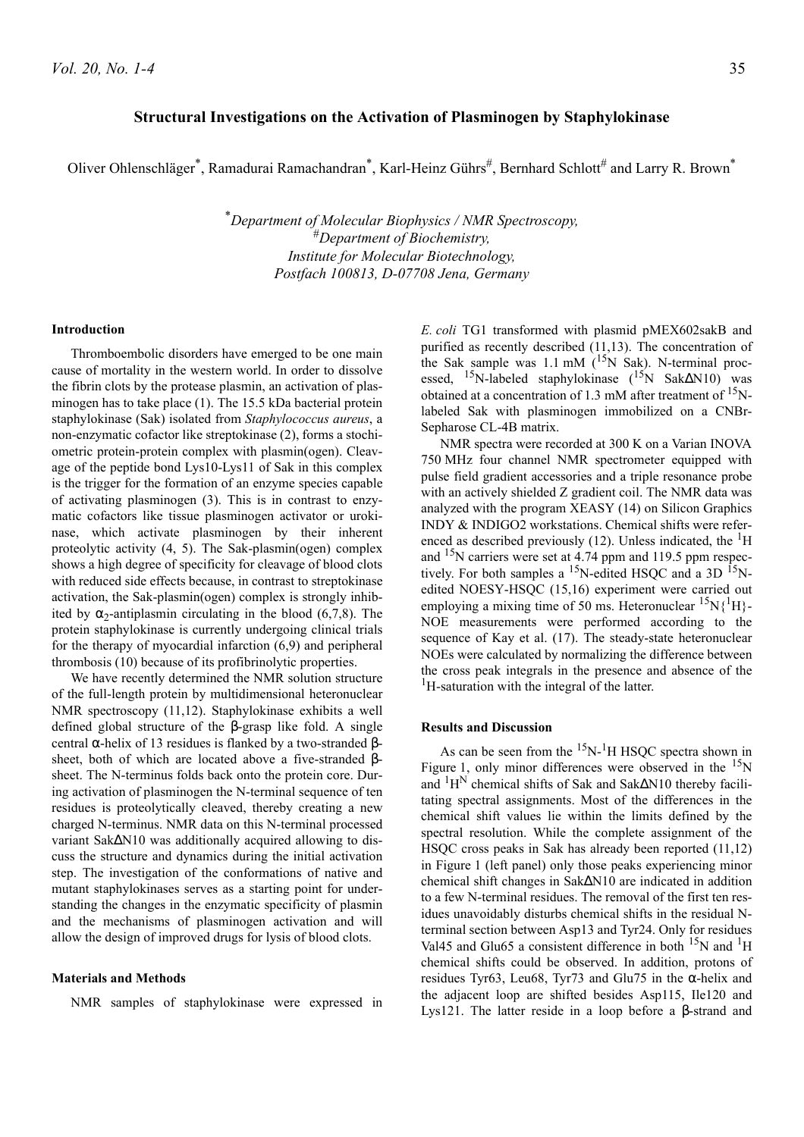# **Structural Investigations on the Activation of Plasminogen by Staphylokinase**

Oliver Ohlenschläger\*, Ramadurai Ramachandran\*, Karl-Heinz Gührs#, Bernhard Schlott# and Larry R. Brown\*

\**Department of Molecular Biophysics / NMR Spectroscopy,* #*Department of Biochemistry, Institute for Molecular Biotechnology, Postfach 100813, D-07708 Jena, Germany*

# **Introduction**

Thromboembolic disorders have emerged to be one main cause of mortality in the western world. In order to dissolve the fibrin clots by the protease plasmin, an activation of plasminogen has to take place (1). The 15.5 kDa bacterial protein staphylokinase (Sak) isolated from *Staphylococcus aureus*, a non-enzymatic cofactor like streptokinase (2), forms a stochiometric protein-protein complex with plasmin(ogen). Cleavage of the peptide bond Lys10-Lys11 of Sak in this complex is the trigger for the formation of an enzyme species capable of activating plasminogen (3). This is in contrast to enzymatic cofactors like tissue plasminogen activator or urokinase, which activate plasminogen by their inherent proteolytic activity (4, 5). The Sak-plasmin(ogen) complex shows a high degree of specificity for cleavage of blood clots with reduced side effects because, in contrast to streptokinase activation, the Sak-plasmin(ogen) complex is strongly inhibited by  $\alpha_2$ -antiplasmin circulating in the blood (6,7,8). The protein staphylokinase is currently undergoing clinical trials for the therapy of myocardial infarction (6,9) and peripheral thrombosis (10) because of its profibrinolytic properties.

We have recently determined the NMR solution structure of the full-length protein by multidimensional heteronuclear NMR spectroscopy (11,12). Staphylokinase exhibits a well defined global structure of the β-grasp like fold. A single central α-helix of 13 residues is flanked by a two-stranded βsheet, both of which are located above a five-stranded βsheet. The N-terminus folds back onto the protein core. During activation of plasminogen the N-terminal sequence of ten residues is proteolytically cleaved, thereby creating a new charged N-terminus. NMR data on this N-terminal processed variant Sak∆N10 was additionally acquired allowing to discuss the structure and dynamics during the initial activation step. The investigation of the conformations of native and mutant staphylokinases serves as a starting point for understanding the changes in the enzymatic specificity of plasmin and the mechanisms of plasminogen activation and will allow the design of improved drugs for lysis of blood clots.

# **Materials and Methods**

NMR samples of staphylokinase were expressed in

*E. coli* TG1 transformed with plasmid pMEX602sakB and purified as recently described (11,13). The concentration of the Sak sample was  $1.1 \text{ mM}$  (<sup>15</sup>N Sak). N-terminal processed, <sup>15</sup>N-labeled staphylokinase (<sup>15</sup>N Sak∆N10) was obtained at a concentration of 1.3 mM after treatment of  $\rm^{15}N$ labeled Sak with plasminogen immobilized on a CNBr-Sepharose CL-4B matrix.

NMR spectra were recorded at 300 K on a Varian INOVA 750 MHz four channel NMR spectrometer equipped with pulse field gradient accessories and a triple resonance probe with an actively shielded Z gradient coil. The NMR data was analyzed with the program XEASY (14) on Silicon Graphics INDY & INDIGO2 workstations. Chemical shifts were referenced as described previously  $(12)$ . Unless indicated, the <sup>1</sup>H and 15N carriers were set at 4.74 ppm and 119.5 ppm respectively. For both samples a <sup>15</sup>N-edited HSQC and a 3D <sup>15</sup>Nedited NOESY-HSQC (15,16) experiment were carried out employing a mixing time of 50 ms. Heteronuclear  ${}^{15}N[{^1}H]$ -NOE measurements were performed according to the sequence of Kay et al. (17). The steady-state heteronuclear NOEs were calculated by normalizing the difference between the cross peak integrals in the presence and absence of the <sup>1</sup>H-saturation with the integral of the latter.

#### **Results and Discussion**

As can be seen from the  $15N-1H$  HSQC spectra shown in Figure 1, only minor differences were observed in the  $15N$ and <sup>1</sup>H<sup>N</sup> chemical shifts of Sak and Sak∆N10 thereby facilitating spectral assignments. Most of the differences in the chemical shift values lie within the limits defined by the spectral resolution. While the complete assignment of the HSQC cross peaks in Sak has already been reported (11,12) in Figure 1 (left panel) only those peaks experiencing minor chemical shift changes in Sak∆N10 are indicated in addition to a few N-terminal residues. The removal of the first ten residues unavoidably disturbs chemical shifts in the residual Nterminal section between Asp13 and Tyr24. Only for residues Val45 and Glu65 a consistent difference in both  $^{15}N$  and  $^{1}H$ chemical shifts could be observed. In addition, protons of residues Tyr63, Leu68, Tyr73 and Glu75 in the α-helix and the adjacent loop are shifted besides Asp115, Ile120 and Lys121. The latter reside in a loop before a β-strand and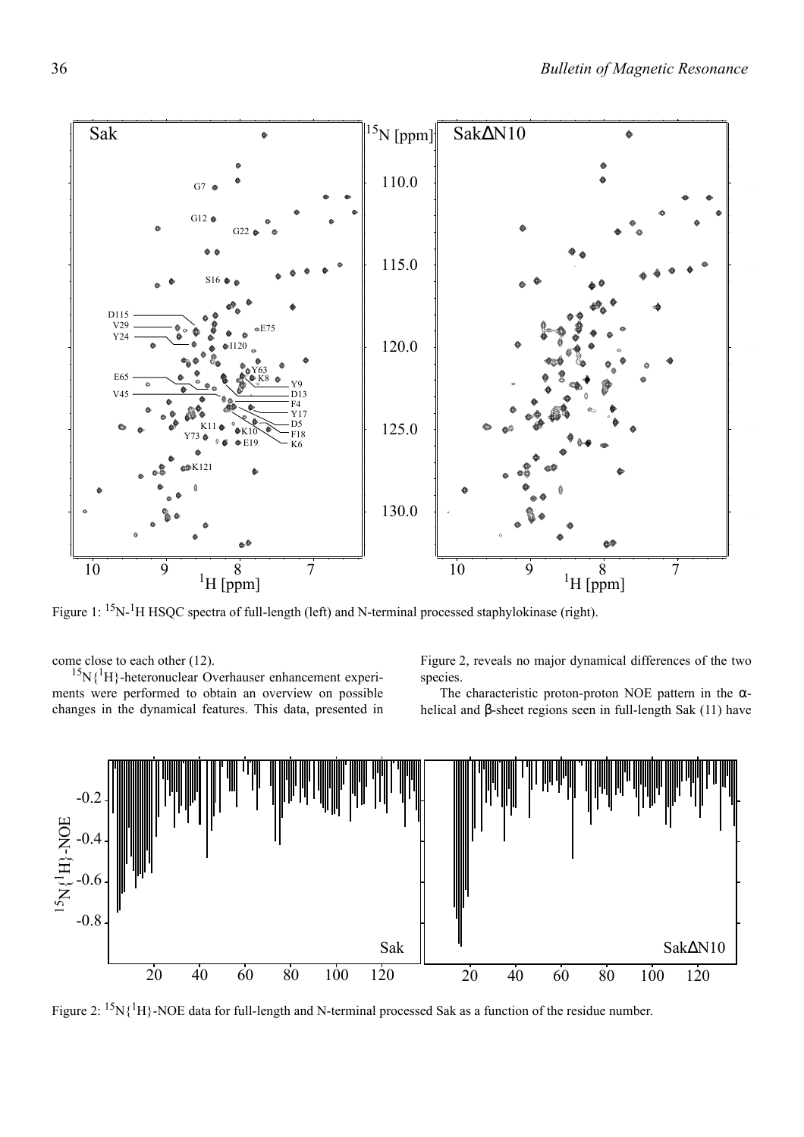

Figure 1:  ${}^{15}N$ - ${}^{1}H$  HSQC spectra of full-length (left) and N-terminal processed staphylokinase (right).

come close to each other (12).

 ${}^{15}N$ { ${}^{1}H$ }-heteronuclear Overhauser enhancement experiments were performed to obtain an overview on possible changes in the dynamical features. This data, presented in Figure 2, reveals no major dynamical differences of the two species.

The characteristic proton-proton NOE pattern in the  $\alpha$ helical and β-sheet regions seen in full-length Sak (11) have



Figure 2:  ${}^{15}N\{ {}^{1}H\}$ -NOE data for full-length and N-terminal processed Sak as a function of the residue number.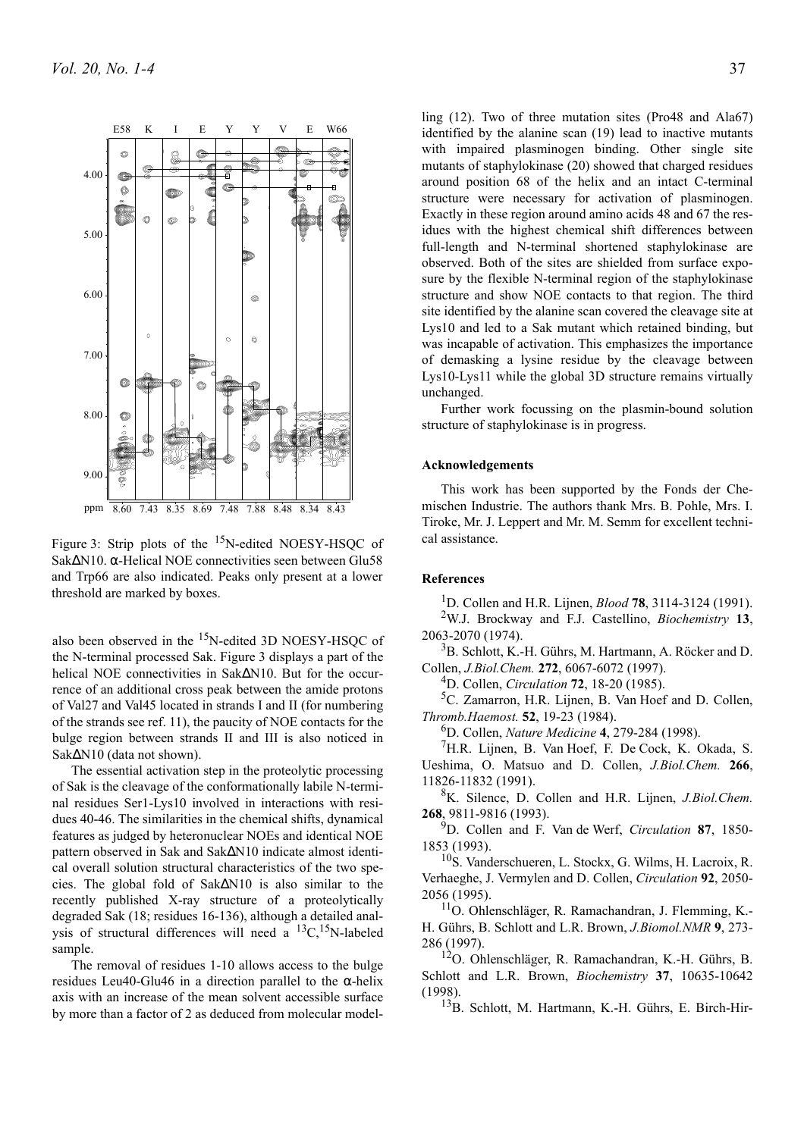

Figure 3: Strip plots of the  $15N$ -edited NOESY-HSQC of Sak∆N10. α-Helical NOE connectivities seen between Glu58 and Trp66 are also indicated. Peaks only present at a lower threshold are marked by boxes.

also been observed in the  $^{15}$ N-edited 3D NOESY-HSOC of the N-terminal processed Sak. Figure 3 displays a part of the helical NOE connectivities in Sak∆N10. But for the occurrence of an additional cross peak between the amide protons of Val27 and Val45 located in strands I and II (for numbering of the strands see ref. 11), the paucity of NOE contacts for the bulge region between strands II and III is also noticed in Sak∆N10 (data not shown).

The essential activation step in the proteolytic processing of Sak is the cleavage of the conformationally labile N-terminal residues Ser1-Lys10 involved in interactions with residues 40-46. The similarities in the chemical shifts, dynamical features as judged by heteronuclear NOEs and identical NOE pattern observed in Sak and Sak∆N10 indicate almost identical overall solution structural characteristics of the two species. The global fold of Sak∆N10 is also similar to the recently published X-ray structure of a proteolytically degraded Sak (18; residues 16-136), although a detailed analysis of structural differences will need a  $^{13}C$ ,<sup>15</sup>N-labeled sample.

The removal of residues 1-10 allows access to the bulge residues Leu40-Glu46 in a direction parallel to the  $\alpha$ -helix axis with an increase of the mean solvent accessible surface by more than a factor of 2 as deduced from molecular modelling (12). Two of three mutation sites (Pro48 and Ala67) identified by the alanine scan (19) lead to inactive mutants with impaired plasminogen binding. Other single site mutants of staphylokinase (20) showed that charged residues around position 68 of the helix and an intact C-terminal structure were necessary for activation of plasminogen. Exactly in these region around amino acids 48 and 67 the residues with the highest chemical shift differences between full-length and N-terminal shortened staphylokinase are observed. Both of the sites are shielded from surface exposure by the flexible N-terminal region of the staphylokinase structure and show NOE contacts to that region. The third site identified by the alanine scan covered the cleavage site at Lys10 and led to a Sak mutant which retained binding, but was incapable of activation. This emphasizes the importance of demasking a lysine residue by the cleavage between Lys10-Lys11 while the global 3D structure remains virtually unchanged.

Further work focussing on the plasmin-bound solution structure of staphylokinase is in progress.

## **Acknowledgements**

This work has been supported by the Fonds der Chemischen Industrie. The authors thank Mrs. B. Pohle, Mrs. I. Tiroke, Mr. J. Leppert and Mr. M. Semm for excellent technical assistance.

## **References**

1 D. Collen and H.R. Lijnen, *Blood* **78**, 3114-3124 (1991). 2 W.J. Brockway and F.J. Castellino, *Biochemistry* **13**, 2063-2070 (1974).

<sup>3</sup>B. Schlott, K.-H. Gührs, M. Hartmann, A. Röcker and D. Collen, *J.Biol.Chem.* **272**, 6067-6072 (1997).

4 D. Collen, *Circulation* **72**, 18-20 (1985).

<sup>5</sup>C. Zamarron, H.R. Lijnen, B. Van Hoef and D. Collen, *Thromb.Haemost.* **52**, 19-23 (1984).

6 D. Collen, *Nature Medicine* **4**, 279-284 (1998).

7 H.R. Lijnen, B. Van Hoef, F. De Cock, K. Okada, S. Ueshima, O. Matsuo and D. Collen, *J.Biol.Chem.* **266**, 11826-11832 (1991).

8 K. Silence, D. Collen and H.R. Lijnen, *J.Biol.Chem.* **268**, 9811-9816 (1993).

9 D. Collen and F. Van de Werf, *Circulation* **87**, 1850- 1853 (1993).

10S. Vanderschueren, L. Stockx, G. Wilms, H. Lacroix, R. Verhaeghe, J. Vermylen and D. Collen, *Circulation* **92**, 2050- 2056 (1995).

11O. Ohlenschläger, R. Ramachandran, J. Flemming, K.- H. Gührs, B. Schlott and L.R. Brown, *J.Biomol.NMR* **9**, 273- 286 (1997).

12O. Ohlenschläger, R. Ramachandran, K.-H. Gührs, B. Schlott and L.R. Brown, *Biochemistry* **37**, 10635-10642 (1998).

13B. Schlott, M. Hartmann, K.-H. Gührs, E. Birch-Hir-